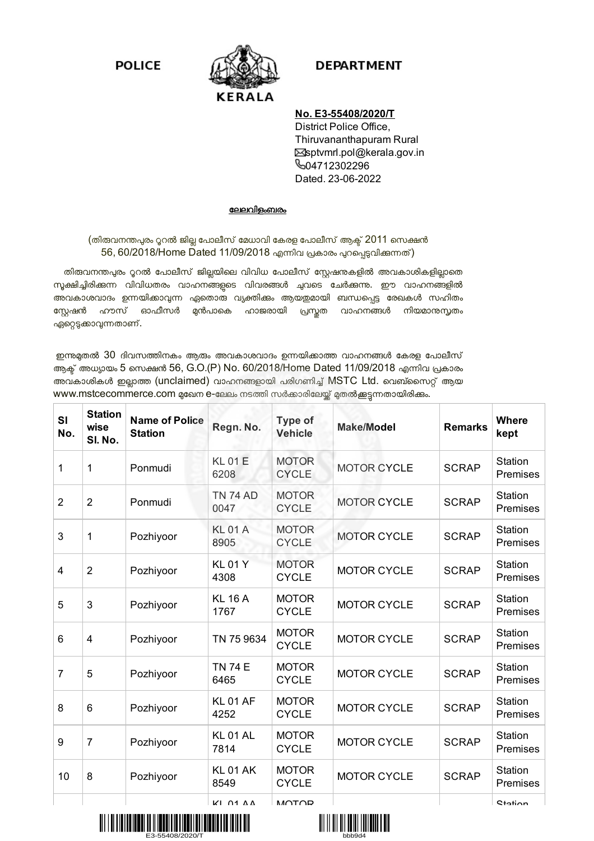**POLICE** 



## **DEPARTMENT**

## **No. E3-55408/2020/T**

District Police Office, Thiruvananthapuram Rural Ssptvmrl.pol@kerala.gov.in **604712302296** Dated. 23-06-2022

## േലലവിളംബരം

(തിരുവനന്തപുരം റൂറൽ ജില്ല പോലീസ് മേധാവി കേരള പോലീസ് ആക്ട് 2011 സെക്ഷൻ 56, 60/2018/Home Dated 11/09/2018 എന്നിവ പ്രകാരം പുറപ്പെടുവിക്കുന്നത്)

തിരുവനന്തപുരം റൂറൽ പോലീസ് ജില്ലയിലെ വിവിധ പോലീസ് സ്റ്റേഷനുകളിൽ അവകാശികളില്ലാതെ നൂക്ഷിച്ചിരിക്കുന്ന വിവിധതരം വാഹനങ്ങളടെ വിവരങ്ങൾ ച്ചവടെ ചേർക്കുന്നു. ഈ വാഹനങ്ങളിൽ അവകാശവാദം ഉന്നയിക്കാവുന്ന ഏതൊരു വ്യക്തിക്കും ആയഇമായി ബന്ധപ്പെട്ട രേഖകൾ സഹിതം സ്റ്റേഷൻ ഹൗസ് ഓഫീസർ മുൻപാകെ ഹാജരായി പ്രസ്തത വാഹനങ്ങൾ നിയമാനുസൃതം ഏറ്റെടുക്കാവുന്നതാണ്.

ഇന്നുമുതൽ 30 ദിവസത്തിനകം ആരും അവകാശവാദം ഉന്നയിക്കാത്ത വാഹനങ്ങൾ കേരള പോലീസ് ആക് അധ്യായം 5 സെക്ഷൻ 56, G.O.(P) No. 60/2018/Home Dated 11/09/2018 എന്നിവ പ്രകാരം അവകാശികൾ ഇല്ലാത്ത (unclaimed) വാഹനങ്ങളായി പരിഗണിച്ച് MSTC Ltd. വെബ്സൈറ്റ് ആയ www.mstcecommerce.com മുഖേന e-ലേലം നടത്തി സർക്കാരിലേയ്ക്ക് മുതൽക്കട്ടന്നതായിരിക്കം.

| SI<br>No.      | <b>Station</b><br>wise<br>SI. No. | <b>Name of Police</b><br><b>Station</b> | Regn. No.               | <b>Type of</b><br><b>Vehicle</b> | <b>Make/Model</b>  | <b>Remarks</b> | <b>Where</b><br>kept |
|----------------|-----------------------------------|-----------------------------------------|-------------------------|----------------------------------|--------------------|----------------|----------------------|
| 1              | 1                                 | Ponmudi                                 | <b>KL01E</b><br>6208    | <b>MOTOR</b><br><b>CYCLE</b>     | <b>MOTOR CYCLE</b> | <b>SCRAP</b>   | Station<br>Premises  |
| $\overline{2}$ | $\overline{2}$                    | Ponmudi                                 | <b>TN 74 AD</b><br>0047 | <b>MOTOR</b><br><b>CYCLE</b>     | <b>MOTOR CYCLE</b> | <b>SCRAP</b>   | Station<br>Premises  |
| 3              | 1                                 | Pozhiyoor                               | <b>KL01A</b><br>8905    | <b>MOTOR</b><br><b>CYCLE</b>     | <b>MOTOR CYCLE</b> | <b>SCRAP</b>   | Station<br>Premises  |
| 4              | $\overline{2}$                    | Pozhiyoor                               | <b>KL01Y</b><br>4308    | <b>MOTOR</b><br><b>CYCLE</b>     | <b>MOTOR CYCLE</b> | <b>SCRAP</b>   | Station<br>Premises  |
| 5              | 3                                 | Pozhiyoor                               | <b>KL 16 A</b><br>1767  | <b>MOTOR</b><br><b>CYCLE</b>     | <b>MOTOR CYCLE</b> | <b>SCRAP</b>   | Station<br>Premises  |
| 6              | 4                                 | Pozhiyoor                               | TN 75 9634              | <b>MOTOR</b><br><b>CYCLE</b>     | <b>MOTOR CYCLE</b> | <b>SCRAP</b>   | Station<br>Premises  |
| $\overline{7}$ | 5                                 | Pozhiyoor                               | <b>TN 74 E</b><br>6465  | <b>MOTOR</b><br><b>CYCLE</b>     | <b>MOTOR CYCLE</b> | <b>SCRAP</b>   | Station<br>Premises  |
| 8              | 6                                 | Pozhiyoor                               | <b>KL01 AF</b><br>4252  | <b>MOTOR</b><br><b>CYCLE</b>     | <b>MOTOR CYCLE</b> | <b>SCRAP</b>   | Station<br>Premises  |
| 9              | $\overline{7}$                    | Pozhiyoor                               | KL01AL<br>7814          | <b>MOTOR</b><br><b>CYCLE</b>     | <b>MOTOR CYCLE</b> | <b>SCRAP</b>   | Station<br>Premises  |
| 10             | 8                                 | Pozhiyoor                               | <b>KL01 AK</b><br>8549  | <b>MOTOR</b><br><b>CYCLE</b>     | <b>MOTOR CYCLE</b> | <b>SCRAP</b>   | Station<br>Premises  |
|                |                                   |                                         | <b>KI 01 A A</b>        | <b>MOTOD</b>                     |                    |                | <b>Ctation</b>       |



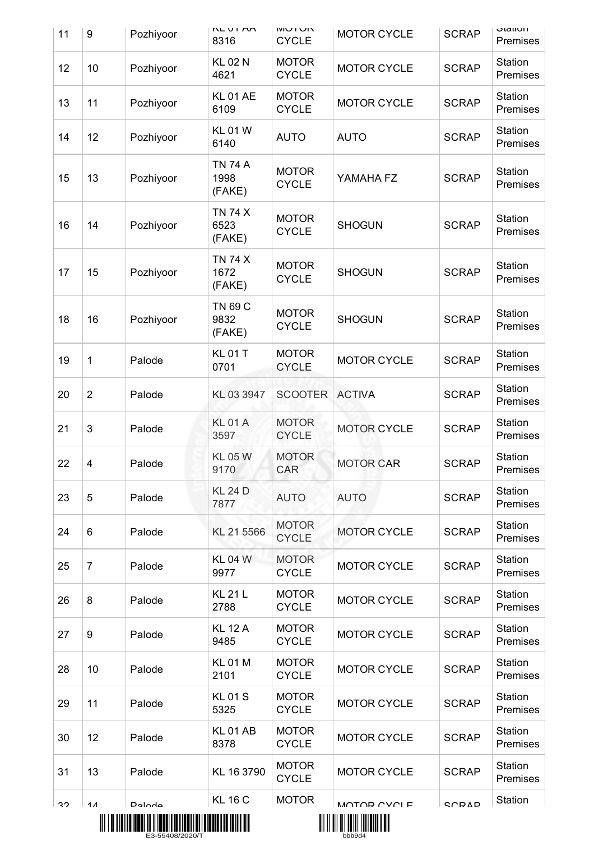| 11 | $9\,$          | Pozhiyoor     | N L U L M<br>8316                | <b>NU LUIVI</b><br><b>CYCLE</b> | <b>MOTOR CYCLE</b> | <b>SCRAP</b> | <b>JIAUUII</b><br>Premises |
|----|----------------|---------------|----------------------------------|---------------------------------|--------------------|--------------|----------------------------|
| 12 | 10             | Pozhiyoor     | <b>KL 02 N</b><br>4621           | <b>MOTOR</b><br><b>CYCLE</b>    | <b>MOTOR CYCLE</b> | <b>SCRAP</b> | Station<br>Premises        |
| 13 | 11             | Pozhiyoor     | <b>KL 01 AE</b><br>6109          | <b>MOTOR</b><br><b>CYCLE</b>    | <b>MOTOR CYCLE</b> | <b>SCRAP</b> | Station<br>Premises        |
| 14 | 12             | Pozhiyoor     | <b>KL01W</b><br>6140             | <b>AUTO</b>                     | <b>AUTO</b>        | <b>SCRAP</b> | Station<br>Premises        |
| 15 | 13             | Pozhiyoor     | <b>TN 74 A</b><br>1998<br>(FAKE) | <b>MOTOR</b><br><b>CYCLE</b>    | YAMAHA FZ          | <b>SCRAP</b> | Station<br>Premises        |
| 16 | 14             | Pozhiyoor     | <b>TN 74 X</b><br>6523<br>(FAKE) | <b>MOTOR</b><br><b>CYCLE</b>    | <b>SHOGUN</b>      | <b>SCRAP</b> | Station<br>Premises        |
| 17 | 15             | Pozhiyoor     | <b>TN 74 X</b><br>1672<br>(FAKE) | <b>MOTOR</b><br><b>CYCLE</b>    | <b>SHOGUN</b>      | <b>SCRAP</b> | Station<br>Premises        |
| 18 | 16             | Pozhiyoor     | TN 69 C<br>9832<br>(FAKE)        | <b>MOTOR</b><br><b>CYCLE</b>    | <b>SHOGUN</b>      | <b>SCRAP</b> | Station<br>Premises        |
| 19 | 1              | Palode        | <b>KL01T</b><br>0701             | <b>MOTOR</b><br><b>CYCLE</b>    | <b>MOTOR CYCLE</b> | <b>SCRAP</b> | Station<br>Premises        |
| 20 | $\overline{2}$ | Palode        | KL 03 3947                       | <b>SCOOTER</b>                  | <b>ACTIVA</b>      | <b>SCRAP</b> | Station<br>Premises        |
| 21 | 3              | Palode        | <b>KL01A</b><br>3597             | <b>MOTOR</b><br><b>CYCLE</b>    | <b>MOTOR CYCLE</b> | <b>SCRAP</b> | Station<br>Premises        |
| 22 | 4              | Palode        | <b>KL 05 W</b><br>9170           | <b>MOTOR</b><br>CAR             | <b>MOTOR CAR</b>   | <b>SCRAP</b> | Station<br>Premises        |
| 23 | 5              | Palode        | <b>KL 24 D</b><br>7877           | <b>AUTO</b>                     | <b>AUTO</b>        | <b>SCRAP</b> | Station<br>Premises        |
| 24 | 6              | Palode        | KL 21 5566                       | <b>MOTOR</b><br><b>CYCLE</b>    | <b>MOTOR CYCLE</b> | <b>SCRAP</b> | Station<br>Premises        |
| 25 | $\overline{7}$ | Palode        | <b>KL 04 W</b><br>9977           | <b>MOTOR</b><br><b>CYCLE</b>    | <b>MOTOR CYCLE</b> | <b>SCRAP</b> | Station<br>Premises        |
| 26 | 8              | Palode        | <b>KL 21 L</b><br>2788           | <b>MOTOR</b><br><b>CYCLE</b>    | <b>MOTOR CYCLE</b> | <b>SCRAP</b> | Station<br>Premises        |
| 27 | 9              | Palode        | <b>KL 12 A</b><br>9485           | <b>MOTOR</b><br><b>CYCLE</b>    | <b>MOTOR CYCLE</b> | <b>SCRAP</b> | Station<br>Premises        |
| 28 | 10             | Palode        | <b>KL01M</b><br>2101             | <b>MOTOR</b><br><b>CYCLE</b>    | <b>MOTOR CYCLE</b> | <b>SCRAP</b> | Station<br>Premises        |
| 29 | 11             | Palode        | <b>KL01S</b><br>5325             | <b>MOTOR</b><br><b>CYCLE</b>    | <b>MOTOR CYCLE</b> | <b>SCRAP</b> | Station<br>Premises        |
| 30 | 12             | Palode        | <b>KL01AB</b><br>8378            | <b>MOTOR</b><br><b>CYCLE</b>    | <b>MOTOR CYCLE</b> | <b>SCRAP</b> | Station<br>Premises        |
| 31 | 13             | Palode        | KL 16 3790                       | <b>MOTOR</b><br><b>CYCLE</b>    | <b>MOTOR CYCLE</b> | <b>SCRAP</b> | Station<br>Premises        |
| っつ | 11             | <b>Daloda</b> | <b>KL 16 C</b>                   | <b>MOTOR</b>                    | MOTOR CVCLE        | <b>CODAD</b> | Station                    |



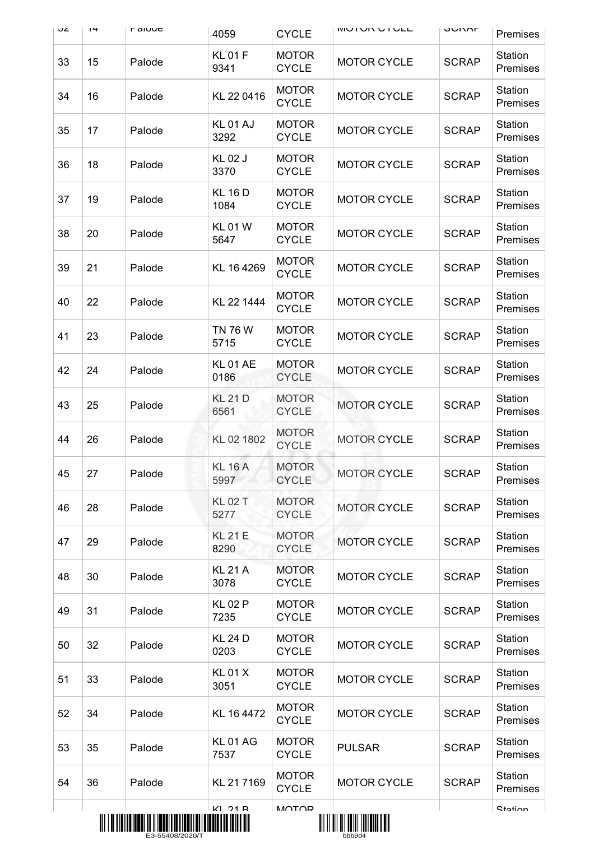| ےں | $1 +$ | <b>L</b> along | 4059                   | <b>CYCLE</b>                 | <b>IVIUI UN U I ULL</b>           | UUNAF        | Premises                   |
|----|-------|----------------|------------------------|------------------------------|-----------------------------------|--------------|----------------------------|
| 33 | 15    | Palode         | <b>KL01F</b><br>9341   | <b>MOTOR</b><br><b>CYCLE</b> | <b>MOTOR CYCLE</b>                | <b>SCRAP</b> | Station<br>Premises        |
| 34 | 16    | Palode         | KL 22 0416             | <b>MOTOR</b><br><b>CYCLE</b> | <b>MOTOR CYCLE</b>                | <b>SCRAP</b> | Station<br>Premises        |
| 35 | 17    | Palode         | KL01 AJ<br>3292        | <b>MOTOR</b><br><b>CYCLE</b> | <b>MOTOR CYCLE</b>                | <b>SCRAP</b> | Station<br>Premises        |
| 36 | 18    | Palode         | <b>KL02J</b><br>3370   | <b>MOTOR</b><br><b>CYCLE</b> | <b>MOTOR CYCLE</b>                | <b>SCRAP</b> | Station<br>Premises        |
| 37 | 19    | Palode         | <b>KL 16 D</b><br>1084 | <b>MOTOR</b><br><b>CYCLE</b> | <b>MOTOR CYCLE</b>                | <b>SCRAP</b> | Station<br>Premises        |
| 38 | 20    | Palode         | <b>KL01W</b><br>5647   | <b>MOTOR</b><br><b>CYCLE</b> | <b>MOTOR CYCLE</b>                | <b>SCRAP</b> | Station<br>Premises        |
| 39 | 21    | Palode         | KL 16 4269             | <b>MOTOR</b><br><b>CYCLE</b> | <b>MOTOR CYCLE</b>                | <b>SCRAP</b> | Station<br>Premises        |
| 40 | 22    | Palode         | KL 22 1444             | <b>MOTOR</b><br><b>CYCLE</b> | <b>MOTOR CYCLE</b>                | <b>SCRAP</b> | Station<br>Premises        |
| 41 | 23    | Palode         | <b>TN 76 W</b><br>5715 | <b>MOTOR</b><br><b>CYCLE</b> | <b>MOTOR CYCLE</b>                | <b>SCRAP</b> | Station<br>Premises        |
| 42 | 24    | Palode         | <b>KL01 AE</b><br>0186 | <b>MOTOR</b><br><b>CYCLE</b> | <b>MOTOR CYCLE</b>                | <b>SCRAP</b> | Station<br>Premises        |
| 43 | 25    | Palode         | <b>KL 21 D</b><br>6561 | <b>MOTOR</b><br><b>CYCLE</b> | <b>MOTOR CYCLE</b>                | <b>SCRAP</b> | Station<br>Premises        |
| 44 | 26    | Palode         | KL 02 1802             | <b>MOTOR</b><br><b>CYCLE</b> | <b>MOTOR CYCLE</b>                | <b>SCRAP</b> | Station<br>Premises        |
| 45 | 27    | Palode         | <b>KL 16 A</b><br>5997 | <b>MOTOR</b><br><b>CYCLE</b> | <b>MOTOR CYCLE</b>                | <b>SCRAP</b> | <b>Station</b><br>Premises |
| 46 | 28    | Palode         | <b>KL 02 T</b><br>5277 | <b>MOTOR</b><br><b>CYCLE</b> | <b>MOTOR CYCLE</b>                | <b>SCRAP</b> | Station<br>Premises        |
| 47 | 29    | Palode         | <b>KL 21 E</b><br>8290 | <b>MOTOR</b><br><b>CYCLE</b> | <b>MOTOR CYCLE</b>                | <b>SCRAP</b> | Station<br>Premises        |
| 48 | 30    | Palode         | <b>KL 21 A</b><br>3078 | <b>MOTOR</b><br><b>CYCLE</b> | <b>MOTOR CYCLE</b>                | <b>SCRAP</b> | Station<br>Premises        |
| 49 | 31    | Palode         | <b>KL02P</b><br>7235   | <b>MOTOR</b><br><b>CYCLE</b> | <b>MOTOR CYCLE</b>                | <b>SCRAP</b> | Station<br>Premises        |
| 50 | 32    | Palode         | <b>KL 24 D</b><br>0203 | <b>MOTOR</b><br><b>CYCLE</b> | <b>MOTOR CYCLE</b>                | <b>SCRAP</b> | Station<br>Premises        |
| 51 | 33    | Palode         | <b>KL01X</b><br>3051   | <b>MOTOR</b><br><b>CYCLE</b> | <b>MOTOR CYCLE</b>                | <b>SCRAP</b> | Station<br>Premises        |
| 52 | 34    | Palode         | KL 16 4472             | <b>MOTOR</b><br><b>CYCLE</b> | <b>MOTOR CYCLE</b>                | <b>SCRAP</b> | Station<br>Premises        |
| 53 | 35    | Palode         | <b>KL01AG</b><br>7537  | <b>MOTOR</b><br><b>CYCLE</b> | <b>PULSAR</b>                     | <b>SCRAP</b> | Station<br>Premises        |
| 54 | 36    | Palode         | KL 217169              | <b>MOTOR</b><br><b>CYCLE</b> | <b>MOTOR CYCLE</b>                | <b>SCRAP</b> | Station<br>Premises        |
|    |       |                | $K1$ $21R$             | <b>MOTOD</b>                 | <u> AII III AII AANI IIII AHA</u> |              | <b>Station</b>             |
|    |       |                |                        |                              |                                   |              |                            |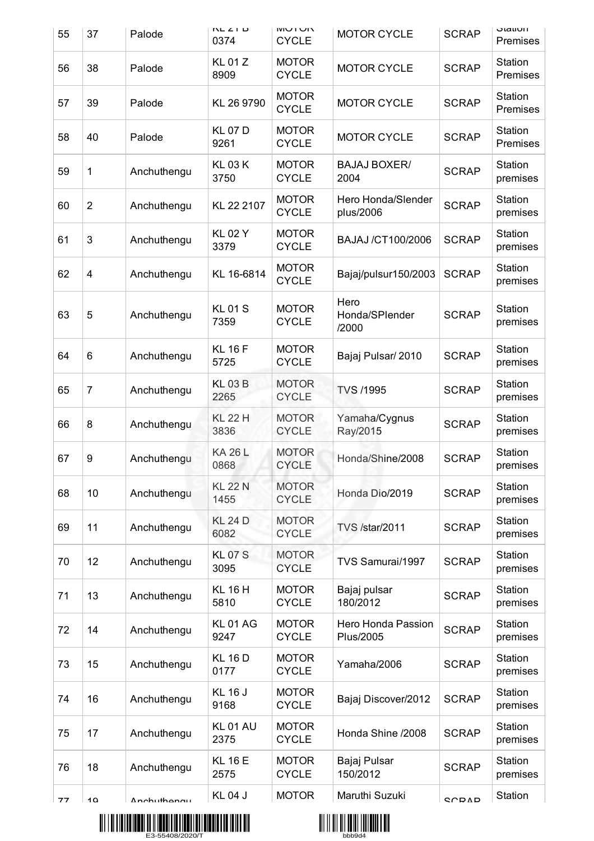| 55 | 37             | Palode      | $N-L < 1$<br>0374      | <b>NU LUN</b><br><b>CYCLE</b> | <b>MOTOR CYCLE</b>              | <b>SCRAP</b> | <b>JIQUUII</b><br><b>Premises</b> |
|----|----------------|-------------|------------------------|-------------------------------|---------------------------------|--------------|-----------------------------------|
| 56 | 38             | Palode      | <b>KL01Z</b><br>8909   | <b>MOTOR</b><br><b>CYCLE</b>  | <b>MOTOR CYCLE</b>              | <b>SCRAP</b> | Station<br>Premises               |
| 57 | 39             | Palode      | KL 26 9790             | <b>MOTOR</b><br><b>CYCLE</b>  | <b>MOTOR CYCLE</b>              | <b>SCRAP</b> | Station<br>Premises               |
| 58 | 40             | Palode      | <b>KL07D</b><br>9261   | <b>MOTOR</b><br><b>CYCLE</b>  | <b>MOTOR CYCLE</b>              | <b>SCRAP</b> | Station<br>Premises               |
| 59 | 1              | Anchuthengu | <b>KL03K</b><br>3750   | <b>MOTOR</b><br><b>CYCLE</b>  | <b>BAJAJ BOXER/</b><br>2004     | <b>SCRAP</b> | Station<br>premises               |
| 60 | $\overline{2}$ | Anchuthengu | KL 22 2107             | <b>MOTOR</b><br><b>CYCLE</b>  | Hero Honda/Slender<br>plus/2006 | <b>SCRAP</b> | Station<br>premises               |
| 61 | 3              | Anchuthengu | <b>KL02Y</b><br>3379   | <b>MOTOR</b><br><b>CYCLE</b>  | BAJAJ /CT100/2006               | <b>SCRAP</b> | Station<br>premises               |
| 62 | 4              | Anchuthengu | KL 16-6814             | <b>MOTOR</b><br><b>CYCLE</b>  | Bajaj/pulsur150/2003            | <b>SCRAP</b> | Station<br>premises               |
| 63 | 5              | Anchuthengu | <b>KL01S</b><br>7359   | <b>MOTOR</b><br><b>CYCLE</b>  | Hero<br>Honda/SPlender<br>/2000 | <b>SCRAP</b> | Station<br>premises               |
| 64 | 6              | Anchuthengu | <b>KL 16 F</b><br>5725 | <b>MOTOR</b><br><b>CYCLE</b>  | Bajaj Pulsar/2010               | <b>SCRAP</b> | Station<br>premises               |
| 65 | $\overline{7}$ | Anchuthengu | <b>KL03B</b><br>2265   | <b>MOTOR</b><br><b>CYCLE</b>  | <b>TVS /1995</b>                | <b>SCRAP</b> | Station<br>premises               |
| 66 | 8              | Anchuthengu | <b>KL 22 H</b><br>3836 | <b>MOTOR</b><br><b>CYCLE</b>  | Yamaha/Cygnus<br>Ray/2015       | <b>SCRAP</b> | Station<br>premises               |
| 67 | 9              | Anchuthengu | <b>KA 26 L</b><br>0868 | <b>MOTOR</b><br><b>CYCLE</b>  | Honda/Shine/2008                | <b>SCRAP</b> | Station<br>premises               |
| 68 | 10             | Anchuthengu | <b>KL 22 N</b><br>1455 | <b>MOTOR</b><br><b>CYCLE</b>  | Honda Dio/2019                  | <b>SCRAP</b> | Station<br>premises               |
| 69 | 11             | Anchuthengu | <b>KL 24 D</b><br>6082 | <b>MOTOR</b><br><b>CYCLE</b>  | <b>TVS /star/2011</b>           | <b>SCRAP</b> | Station<br>premises               |
| 70 | 12             | Anchuthengu | <b>KL07S</b><br>3095   | <b>MOTOR</b><br><b>CYCLE</b>  | TVS Samurai/1997                | <b>SCRAP</b> | Station<br>premises               |
| 71 | 13             | Anchuthengu | <b>KL 16 H</b><br>5810 | <b>MOTOR</b><br><b>CYCLE</b>  | Bajaj pulsar<br>180/2012        | <b>SCRAP</b> | Station<br>premises               |
| 72 | 14             | Anchuthengu | <b>KL01AG</b><br>9247  | <b>MOTOR</b><br><b>CYCLE</b>  | Hero Honda Passion<br>Plus/2005 | <b>SCRAP</b> | Station<br>premises               |
| 73 | 15             | Anchuthengu | <b>KL 16 D</b><br>0177 | <b>MOTOR</b><br><b>CYCLE</b>  | Yamaha/2006                     | <b>SCRAP</b> | Station<br>premises               |
| 74 | 16             | Anchuthengu | <b>KL 16 J</b><br>9168 | <b>MOTOR</b><br><b>CYCLE</b>  | Bajaj Discover/2012             | <b>SCRAP</b> | Station<br>premises               |
| 75 | 17             | Anchuthengu | <b>KL01 AU</b><br>2375 | <b>MOTOR</b><br><b>CYCLE</b>  | Honda Shine /2008               | <b>SCRAP</b> | Station<br>premises               |
| 76 | 18             | Anchuthengu | <b>KL 16 E</b><br>2575 | <b>MOTOR</b><br><b>CYCLE</b>  | Bajaj Pulsar<br>150/2012        | <b>SCRAP</b> | Station<br>premises               |
| 77 | 10             | Anchuthonau | <b>KL04J</b>           | <b>MOTOR</b>                  | Maruthi Suzuki                  | <b>CODAD</b> | Station                           |



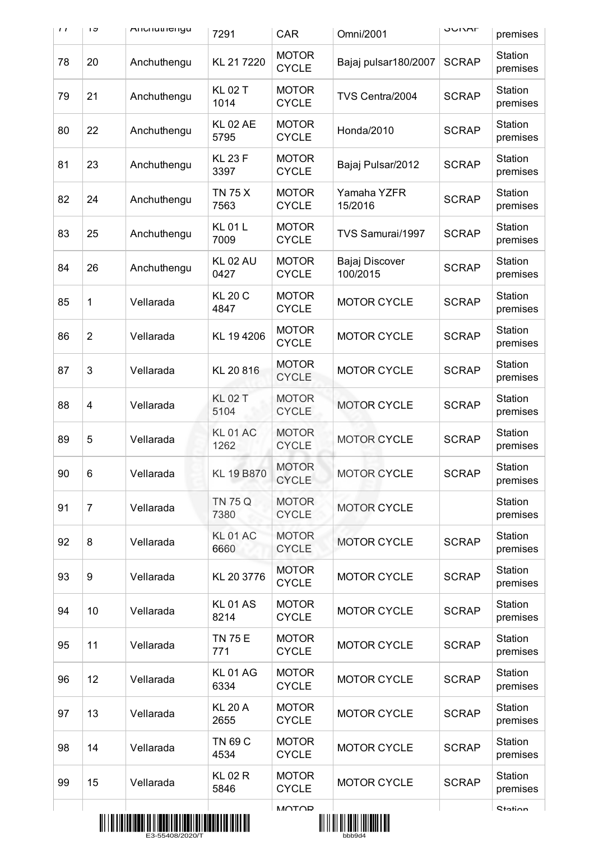| $\mathbf{I}$ | ט ו            | <b>Allullutricityu</b>                                                                                         | 7291                    | CAR                          | Omni/2001                                 | חתרושט       | premises            |
|--------------|----------------|----------------------------------------------------------------------------------------------------------------|-------------------------|------------------------------|-------------------------------------------|--------------|---------------------|
| 78           | 20             | Anchuthengu                                                                                                    | KL 217220               | <b>MOTOR</b><br><b>CYCLE</b> | Bajaj pulsar180/2007                      | <b>SCRAP</b> | Station<br>premises |
| 79           | 21             | Anchuthengu                                                                                                    | <b>KL 02 T</b><br>1014  | <b>MOTOR</b><br><b>CYCLE</b> | TVS Centra/2004                           | <b>SCRAP</b> | Station<br>premises |
| 80           | 22             | Anchuthengu                                                                                                    | <b>KL 02 AE</b><br>5795 | <b>MOTOR</b><br><b>CYCLE</b> | Honda/2010                                | <b>SCRAP</b> | Station<br>premises |
| 81           | 23             | Anchuthengu                                                                                                    | <b>KL 23 F</b><br>3397  | <b>MOTOR</b><br><b>CYCLE</b> | Bajaj Pulsar/2012                         | <b>SCRAP</b> | Station<br>premises |
| 82           | 24             | Anchuthengu                                                                                                    | <b>TN 75 X</b><br>7563  | <b>MOTOR</b><br><b>CYCLE</b> | Yamaha YZFR<br>15/2016                    | <b>SCRAP</b> | Station<br>premises |
| 83           | 25             | Anchuthengu                                                                                                    | <b>KL01L</b><br>7009    | <b>MOTOR</b><br><b>CYCLE</b> | TVS Samurai/1997                          | <b>SCRAP</b> | Station<br>premises |
| 84           | 26             | Anchuthengu                                                                                                    | <b>KL 02 AU</b><br>0427 | <b>MOTOR</b><br><b>CYCLE</b> | Bajaj Discover<br>100/2015                | <b>SCRAP</b> | Station<br>premises |
| 85           | 1              | Vellarada                                                                                                      | <b>KL 20 C</b><br>4847  | <b>MOTOR</b><br><b>CYCLE</b> | <b>MOTOR CYCLE</b>                        | <b>SCRAP</b> | Station<br>premises |
| 86           | $\overline{2}$ | Vellarada                                                                                                      | KL 194206               | <b>MOTOR</b><br><b>CYCLE</b> | <b>MOTOR CYCLE</b>                        | <b>SCRAP</b> | Station<br>premises |
| 87           | 3              | Vellarada                                                                                                      | KL 20 816               | <b>MOTOR</b><br><b>CYCLE</b> | <b>MOTOR CYCLE</b>                        | <b>SCRAP</b> | Station<br>premises |
| 88           | 4              | Vellarada                                                                                                      | <b>KL 02 T</b><br>5104  | <b>MOTOR</b><br><b>CYCLE</b> | <b>MOTOR CYCLE</b>                        | <b>SCRAP</b> | Station<br>premises |
| 89           | 5              | Vellarada                                                                                                      | <b>KL 01 AC</b><br>1262 | <b>MOTOR</b><br><b>CYCLE</b> | <b>MOTOR CYCLE</b>                        | <b>SCRAP</b> | Station<br>premises |
| 90           | 6              | Vellarada                                                                                                      | KL 19 B870              | <b>MOTOR</b><br><b>CYCLE</b> | <b>MOTOR CYCLE</b>                        | <b>SCRAP</b> | Station<br>premises |
| 91           | $\overline{7}$ | Vellarada                                                                                                      | TN 75 Q<br>7380         | <b>MOTOR</b><br><b>CYCLE</b> | <b>MOTOR CYCLE</b>                        |              | Station<br>premises |
| 92           | 8              | Vellarada                                                                                                      | <b>KL 01 AC</b><br>6660 | <b>MOTOR</b><br><b>CYCLE</b> | <b>MOTOR CYCLE</b>                        | <b>SCRAP</b> | Station<br>premises |
| 93           | 9              | Vellarada                                                                                                      | KL 20 3776              | <b>MOTOR</b><br><b>CYCLE</b> | <b>MOTOR CYCLE</b>                        | <b>SCRAP</b> | Station<br>premises |
| 94           | 10             | Vellarada                                                                                                      | <b>KL01AS</b><br>8214   | <b>MOTOR</b><br><b>CYCLE</b> | <b>MOTOR CYCLE</b>                        | <b>SCRAP</b> | Station<br>premises |
| 95           | 11             | Vellarada                                                                                                      | <b>TN 75 E</b><br>771   | <b>MOTOR</b><br><b>CYCLE</b> | <b>MOTOR CYCLE</b>                        | <b>SCRAP</b> | Station<br>premises |
| 96           | 12             | Vellarada                                                                                                      | <b>KL01AG</b><br>6334   | <b>MOTOR</b><br><b>CYCLE</b> | <b>MOTOR CYCLE</b>                        | <b>SCRAP</b> | Station<br>premises |
| 97           | 13             | Vellarada                                                                                                      | <b>KL 20 A</b><br>2655  | <b>MOTOR</b><br><b>CYCLE</b> | <b>MOTOR CYCLE</b>                        | <b>SCRAP</b> | Station<br>premises |
| 98           | 14             | Vellarada                                                                                                      | TN 69 C<br>4534         | <b>MOTOR</b><br><b>CYCLE</b> | <b>MOTOR CYCLE</b>                        | <b>SCRAP</b> | Station<br>premises |
| 99           | 15             | Vellarada                                                                                                      | <b>KL02R</b><br>5846    | <b>MOTOR</b><br><b>CYCLE</b> | <b>MOTOR CYCLE</b>                        | <b>SCRAP</b> | Station<br>premises |
|              |                | <u> 811   81   81   82   83   84   85   86   87   88   89   80   81   82   83   84   85   86   87   88   9</u> |                         | <b>MOTOD</b>                 | <u> 811 11 811 811 8201 1331 8333 834</u> |              | <b>Station</b>      |



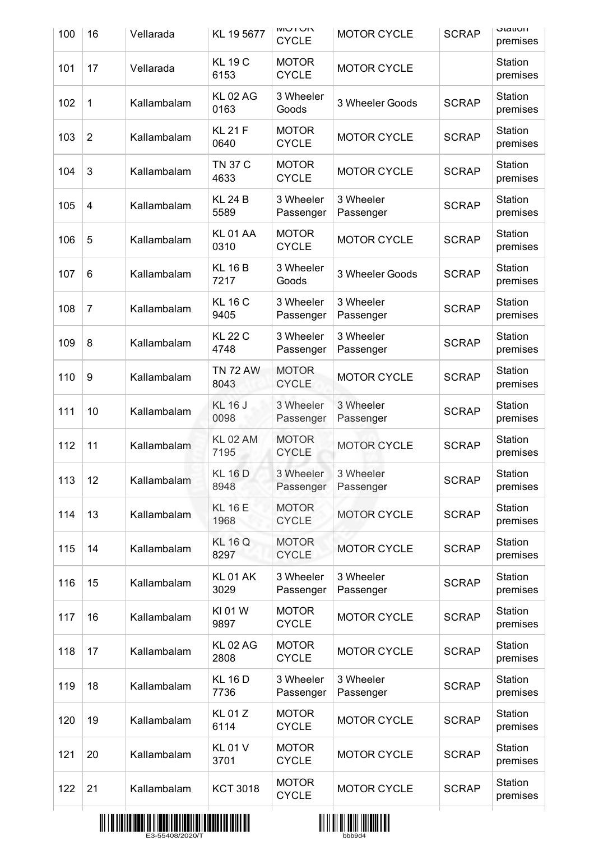| 100 | 16             | Vellarada   | KL 19 5677              | <b>NUIVIVI</b><br><b>CYCLE</b> | <b>MOTOR CYCLE</b>     | <b>SCRAP</b> | otation<br>premises |
|-----|----------------|-------------|-------------------------|--------------------------------|------------------------|--------------|---------------------|
| 101 | 17             | Vellarada   | <b>KL 19 C</b><br>6153  | <b>MOTOR</b><br><b>CYCLE</b>   | <b>MOTOR CYCLE</b>     |              | Station<br>premises |
| 102 | 1              | Kallambalam | <b>KL 02 AG</b><br>0163 | 3 Wheeler<br>Goods             | 3 Wheeler Goods        | <b>SCRAP</b> | Station<br>premises |
| 103 | $\overline{2}$ | Kallambalam | <b>KL 21 F</b><br>0640  | <b>MOTOR</b><br><b>CYCLE</b>   | <b>MOTOR CYCLE</b>     | <b>SCRAP</b> | Station<br>premises |
| 104 | 3              | Kallambalam | <b>TN 37 C</b><br>4633  | <b>MOTOR</b><br><b>CYCLE</b>   | <b>MOTOR CYCLE</b>     | <b>SCRAP</b> | Station<br>premises |
| 105 | 4              | Kallambalam | <b>KL 24 B</b><br>5589  | 3 Wheeler<br>Passenger         | 3 Wheeler<br>Passenger | <b>SCRAP</b> | Station<br>premises |
| 106 | 5              | Kallambalam | <b>KL 01 AA</b><br>0310 | <b>MOTOR</b><br><b>CYCLE</b>   | <b>MOTOR CYCLE</b>     | <b>SCRAP</b> | Station<br>premises |
| 107 | 6              | Kallambalam | <b>KL 16 B</b><br>7217  | 3 Wheeler<br>Goods             | 3 Wheeler Goods        | <b>SCRAP</b> | Station<br>premises |
| 108 | $\overline{7}$ | Kallambalam | <b>KL 16 C</b><br>9405  | 3 Wheeler<br>Passenger         | 3 Wheeler<br>Passenger | <b>SCRAP</b> | Station<br>premises |
| 109 | 8              | Kallambalam | <b>KL 22 C</b><br>4748  | 3 Wheeler<br>Passenger         | 3 Wheeler<br>Passenger | <b>SCRAP</b> | Station<br>premises |
| 110 | 9              | Kallambalam | <b>TN 72 AW</b><br>8043 | <b>MOTOR</b><br><b>CYCLE</b>   | <b>MOTOR CYCLE</b>     | <b>SCRAP</b> | Station<br>premises |
| 111 | 10             | Kallambalam | <b>KL 16 J</b><br>0098  | 3 Wheeler<br>Passenger         | 3 Wheeler<br>Passenger | <b>SCRAP</b> | Station<br>premises |
| 112 | 11             | Kallambalam | <b>KL 02 AM</b><br>7195 | <b>MOTOR</b><br><b>CYCLE</b>   | <b>MOTOR CYCLE</b>     | <b>SCRAP</b> | Station<br>premises |
| 113 | 12             | Kallambalam | <b>KL 16 D</b><br>8948  | 3 Wheeler<br>Passenger         | 3 Wheeler<br>Passenger | <b>SCRAP</b> | Station<br>premises |
| 114 | 13             | Kallambalam | <b>KL 16 E</b><br>1968  | <b>MOTOR</b><br><b>CYCLE</b>   | <b>MOTOR CYCLE</b>     | <b>SCRAP</b> | Station<br>premises |
| 115 | 14             | Kallambalam | <b>KL 16 Q</b><br>8297  | <b>MOTOR</b><br><b>CYCLE</b>   | <b>MOTOR CYCLE</b>     | <b>SCRAP</b> | Station<br>premises |
| 116 | 15             | Kallambalam | <b>KL 01 AK</b><br>3029 | 3 Wheeler<br>Passenger         | 3 Wheeler<br>Passenger | <b>SCRAP</b> | Station<br>premises |
| 117 | 16             | Kallambalam | KI 01 W<br>9897         | <b>MOTOR</b><br><b>CYCLE</b>   | <b>MOTOR CYCLE</b>     | <b>SCRAP</b> | Station<br>premises |
| 118 | 17             | Kallambalam | <b>KL 02 AG</b><br>2808 | <b>MOTOR</b><br><b>CYCLE</b>   | <b>MOTOR CYCLE</b>     | <b>SCRAP</b> | Station<br>premises |
| 119 | 18             | Kallambalam | <b>KL 16 D</b><br>7736  | 3 Wheeler<br>Passenger         | 3 Wheeler<br>Passenger | <b>SCRAP</b> | Station<br>premises |
| 120 | 19             | Kallambalam | <b>KL01Z</b><br>6114    | <b>MOTOR</b><br><b>CYCLE</b>   | <b>MOTOR CYCLE</b>     | <b>SCRAP</b> | Station<br>premises |
| 121 | 20             | Kallambalam | <b>KL01V</b><br>3701    | <b>MOTOR</b><br><b>CYCLE</b>   | <b>MOTOR CYCLE</b>     | <b>SCRAP</b> | Station<br>premises |
| 122 | 21             | Kallambalam | <b>KCT 3018</b>         | <b>MOTOR</b><br><b>CYCLE</b>   | <b>MOTOR CYCLE</b>     | <b>SCRAP</b> | Station<br>premises |
|     |                |             |                         |                                |                        |              |                     |



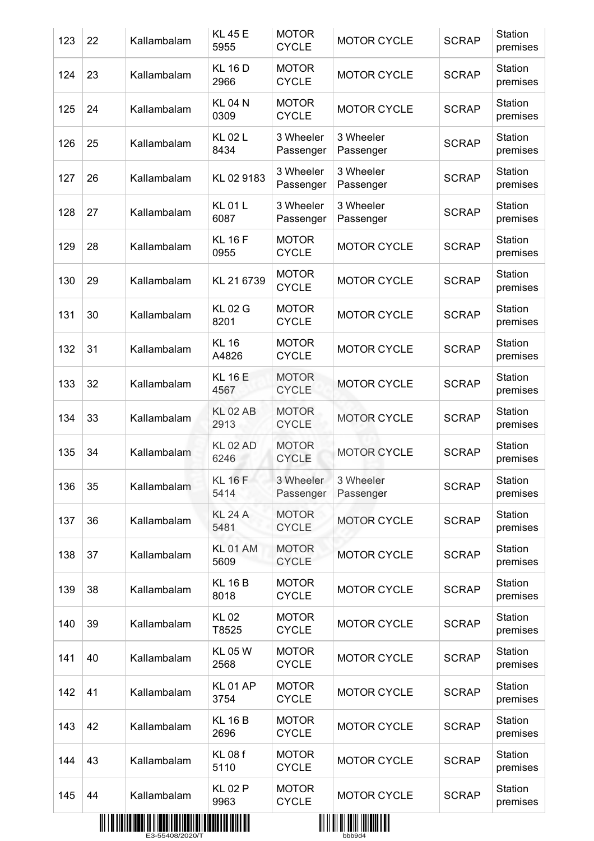| <b>SCRAP</b><br>123<br>22<br>Kallambalam<br><b>MOTOR CYCLE</b><br>5955<br><b>CYCLE</b>                    | premises                            |
|-----------------------------------------------------------------------------------------------------------|-------------------------------------|
| <b>KL 16 D</b><br><b>MOTOR</b><br><b>MOTOR CYCLE</b><br>124<br>23<br>Kallambalam<br>2966<br><b>CYCLE</b>  | Station<br><b>SCRAP</b><br>premises |
| <b>KL 04 N</b><br><b>MOTOR</b><br>Kallambalam<br><b>MOTOR CYCLE</b><br>125<br>24<br>0309<br><b>CYCLE</b>  | Station<br><b>SCRAP</b><br>premises |
| <b>KL02L</b><br>3 Wheeler<br>3 Wheeler<br>126<br>25<br>Kallambalam<br>8434<br>Passenger<br>Passenger      | Station<br><b>SCRAP</b><br>premises |
| 3 Wheeler<br>3 Wheeler<br>127<br>KL 02 9183<br>26<br>Kallambalam<br>Passenger<br>Passenger                | Station<br><b>SCRAP</b><br>premises |
| <b>KL01L</b><br>3 Wheeler<br>3 Wheeler<br>128<br>27<br>Kallambalam<br>6087<br>Passenger<br>Passenger      | Station<br><b>SCRAP</b><br>premises |
| <b>KL 16 F</b><br><b>MOTOR</b><br>129<br>28<br>Kallambalam<br><b>MOTOR CYCLE</b><br><b>CYCLE</b><br>0955  | Station<br><b>SCRAP</b><br>premises |
| <b>MOTOR</b><br>130<br>29<br>KL 21 6739<br>Kallambalam<br><b>MOTOR CYCLE</b><br><b>CYCLE</b>              | Station<br><b>SCRAP</b><br>premises |
| <b>KL02G</b><br><b>MOTOR</b><br>131<br>30<br><b>MOTOR CYCLE</b><br>Kallambalam<br>8201<br><b>CYCLE</b>    | Station<br><b>SCRAP</b><br>premises |
| <b>MOTOR</b><br><b>KL 16</b><br>132<br>31<br><b>MOTOR CYCLE</b><br>Kallambalam<br>A4826<br><b>CYCLE</b>   | Station<br><b>SCRAP</b><br>premises |
| <b>KL 16 E</b><br><b>MOTOR</b><br>133<br>32<br><b>MOTOR CYCLE</b><br>Kallambalam<br><b>CYCLE</b><br>4567  | Station<br><b>SCRAP</b><br>premises |
| <b>KL 02 AB</b><br><b>MOTOR</b><br>33<br>Kallambalam<br>134<br><b>MOTOR CYCLE</b><br>2913<br><b>CYCLE</b> | Station<br><b>SCRAP</b><br>premises |
| <b>KL 02 AD</b><br><b>MOTOR</b><br>135<br><b>MOTOR CYCLE</b><br>34<br>Kallambalam<br><b>CYCLE</b><br>6246 | Station<br><b>SCRAP</b><br>premises |
| <b>KL 16 F</b><br>3 Wheeler<br>3 Wheeler<br>136<br>35<br>Kallambalam<br>5414<br>Passenger<br>Passenger    | Station<br><b>SCRAP</b><br>premises |
| <b>KL 24 A</b><br><b>MOTOR</b><br>137<br>36<br>Kallambalam<br><b>MOTOR CYCLE</b><br><b>CYCLE</b><br>5481  | Station<br><b>SCRAP</b><br>premises |
| <b>KL 01 AM</b><br><b>MOTOR</b><br>138<br>37<br>Kallambalam<br><b>MOTOR CYCLE</b><br>5609<br><b>CYCLE</b> | Station<br><b>SCRAP</b><br>premises |
| <b>KL 16 B</b><br><b>MOTOR</b><br>139<br>38<br>Kallambalam<br><b>MOTOR CYCLE</b><br>8018<br><b>CYCLE</b>  | Station<br><b>SCRAP</b><br>premises |
| <b>KL02</b><br><b>MOTOR</b><br>140<br>39<br>Kallambalam<br><b>MOTOR CYCLE</b><br><b>CYCLE</b><br>T8525    | Station<br><b>SCRAP</b><br>premises |
| <b>KL 05 W</b><br><b>MOTOR</b><br>141<br>40<br>Kallambalam<br><b>MOTOR CYCLE</b><br><b>CYCLE</b><br>2568  | Station<br><b>SCRAP</b><br>premises |
| <b>KL01 AP</b><br><b>MOTOR</b><br>142<br>41<br><b>MOTOR CYCLE</b><br>Kallambalam<br>3754<br><b>CYCLE</b>  | Station<br><b>SCRAP</b><br>premises |
| <b>KL 16 B</b><br><b>MOTOR</b><br>143<br>42<br>Kallambalam<br><b>MOTOR CYCLE</b><br>2696<br><b>CYCLE</b>  | Station<br><b>SCRAP</b><br>premises |
| <b>KL 08 f</b><br><b>MOTOR</b><br>144<br>43<br>Kallambalam<br><b>MOTOR CYCLE</b><br>5110<br><b>CYCLE</b>  | Station<br><b>SCRAP</b><br>premises |
| <b>KL02P</b><br><b>MOTOR</b><br>145<br>Kallambalam<br>44<br><b>MOTOR CYCLE</b><br><b>CYCLE</b><br>9963    | Station<br><b>SCRAP</b><br>premises |



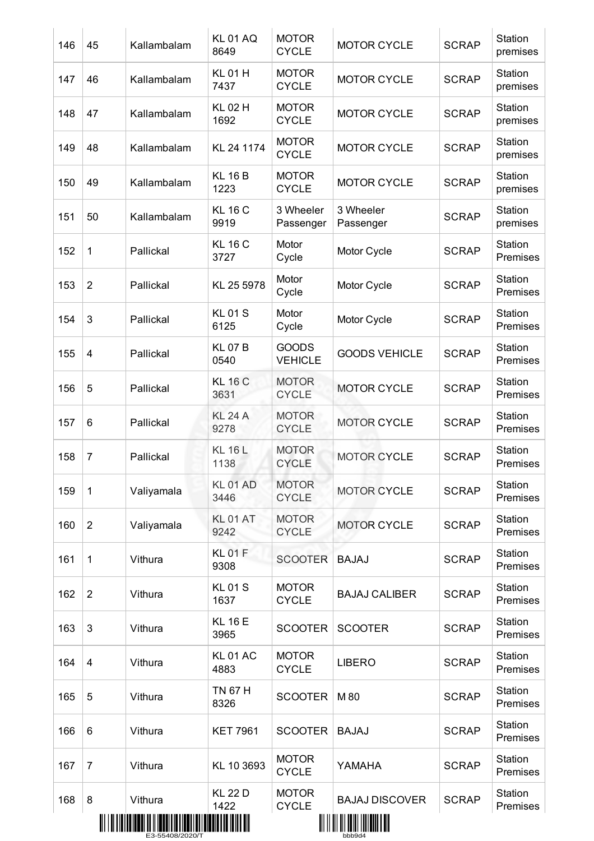| 146 | 45             | Kallambalam | <b>KL01AQ</b><br>8649   | <b>MOTOR</b><br><b>CYCLE</b>   | <b>MOTOR CYCLE</b>                  | <b>SCRAP</b> | Station<br>premises |
|-----|----------------|-------------|-------------------------|--------------------------------|-------------------------------------|--------------|---------------------|
| 147 | 46             | Kallambalam | <b>KL01H</b><br>7437    | <b>MOTOR</b><br><b>CYCLE</b>   | <b>MOTOR CYCLE</b>                  | <b>SCRAP</b> | Station<br>premises |
| 148 | 47             | Kallambalam | <b>KL 02 H</b><br>1692  | <b>MOTOR</b><br><b>CYCLE</b>   | <b>MOTOR CYCLE</b>                  | <b>SCRAP</b> | Station<br>premises |
| 149 | 48             | Kallambalam | KL 24 1174              | <b>MOTOR</b><br><b>CYCLE</b>   | <b>MOTOR CYCLE</b>                  | <b>SCRAP</b> | Station<br>premises |
| 150 | 49             | Kallambalam | <b>KL 16 B</b><br>1223  | <b>MOTOR</b><br><b>CYCLE</b>   | <b>MOTOR CYCLE</b>                  | <b>SCRAP</b> | Station<br>premises |
| 151 | 50             | Kallambalam | <b>KL 16 C</b><br>9919  | 3 Wheeler<br>Passenger         | 3 Wheeler<br>Passenger              | <b>SCRAP</b> | Station<br>premises |
| 152 | $\mathbf 1$    | Pallickal   | <b>KL 16 C</b><br>3727  | Motor<br>Cycle                 | Motor Cycle                         | <b>SCRAP</b> | Station<br>Premises |
| 153 | $\overline{2}$ | Pallickal   | KL 25 5978              | Motor<br>Cycle                 | Motor Cycle                         | <b>SCRAP</b> | Station<br>Premises |
| 154 | 3              | Pallickal   | <b>KL01S</b><br>6125    | Motor<br>Cycle                 | Motor Cycle                         | <b>SCRAP</b> | Station<br>Premises |
| 155 | 4              | Pallickal   | <b>KL07B</b><br>0540    | <b>GOODS</b><br><b>VEHICLE</b> | <b>GOODS VEHICLE</b>                | <b>SCRAP</b> | Station<br>Premises |
| 156 | 5              | Pallickal   | <b>KL 16 C</b><br>3631  | <b>MOTOR</b><br><b>CYCLE</b>   | <b>MOTOR CYCLE</b>                  | <b>SCRAP</b> | Station<br>Premises |
| 157 | 6              | Pallickal   | <b>KL 24 A</b><br>9278  | <b>MOTOR</b><br><b>CYCLE</b>   | <b>MOTOR CYCLE</b>                  | <b>SCRAP</b> | Station<br>Premises |
| 158 | $\overline{7}$ | Pallickal   | <b>KL 16 L</b><br>1138  | <b>MOTOR</b><br><b>CYCLE</b>   | <b>MOTOR CYCLE</b>                  | <b>SCRAP</b> | Station<br>Premises |
| 159 | $\mathbf{1}$   | Valiyamala  | <b>KL 01 AD</b><br>3446 | <b>MOTOR</b><br><b>CYCLE</b>   | <b>MOTOR CYCLE</b>                  | <b>SCRAP</b> | Station<br>Premises |
| 160 | $\overline{2}$ | Valiyamala  | <b>KL01AT</b><br>9242   | <b>MOTOR</b><br><b>CYCLE</b>   | <b>MOTOR CYCLE</b>                  | <b>SCRAP</b> | Station<br>Premises |
| 161 | 1              | Vithura     | <b>KL01F</b><br>9308    | <b>SCOOTER</b>                 | <b>BAJAJ</b>                        | <b>SCRAP</b> | Station<br>Premises |
| 162 | $\overline{2}$ | Vithura     | <b>KL01S</b><br>1637    | <b>MOTOR</b><br><b>CYCLE</b>   | <b>BAJAJ CALIBER</b>                | <b>SCRAP</b> | Station<br>Premises |
| 163 | 3              | Vithura     | <b>KL 16 E</b><br>3965  | <b>SCOOTER</b>                 | <b>SCOOTER</b>                      | <b>SCRAP</b> | Station<br>Premises |
| 164 | 4              | Vithura     | <b>KL 01 AC</b><br>4883 | <b>MOTOR</b><br><b>CYCLE</b>   | <b>LIBERO</b>                       | <b>SCRAP</b> | Station<br>Premises |
| 165 | 5              | Vithura     | <b>TN 67 H</b><br>8326  | <b>SCOOTER</b>                 | M 80                                | <b>SCRAP</b> | Station<br>Premises |
| 166 | 6              | Vithura     | <b>KET 7961</b>         | <b>SCOOTER</b>                 | <b>BAJAJ</b>                        | <b>SCRAP</b> | Station<br>Premises |
| 167 | 7              | Vithura     | KL 10 3693              | <b>MOTOR</b><br><b>CYCLE</b>   | YAMAHA                              | <b>SCRAP</b> | Station<br>Premises |
| 168 | 8              | Vithura     | <b>KL 22 D</b><br>1422  | <b>MOTOR</b><br><b>CYCLE</b>   | <b>BAJAJ DISCOVER</b>               | <b>SCRAP</b> | Station<br>Premises |
|     |                |             |                         |                                | <u> AII III AII AANI IMIDADI AH</u> |              |                     |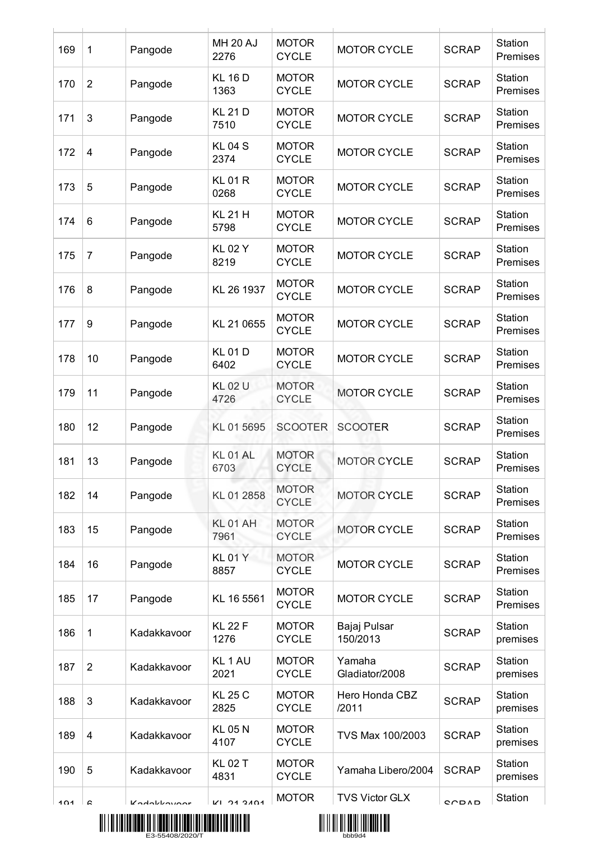| 169 | $\mathbf 1$    | Pangode     | <b>MH 20 AJ</b><br>2276    | <b>MOTOR</b><br><b>CYCLE</b> | <b>MOTOR CYCLE</b>       | <b>SCRAP</b> | Station<br>Premises |
|-----|----------------|-------------|----------------------------|------------------------------|--------------------------|--------------|---------------------|
| 170 | $\overline{2}$ | Pangode     | <b>KL 16 D</b><br>1363     | <b>MOTOR</b><br><b>CYCLE</b> | <b>MOTOR CYCLE</b>       | <b>SCRAP</b> | Station<br>Premises |
| 171 | 3              | Pangode     | <b>KL 21 D</b><br>7510     | <b>MOTOR</b><br><b>CYCLE</b> | <b>MOTOR CYCLE</b>       | <b>SCRAP</b> | Station<br>Premises |
| 172 | 4              | Pangode     | <b>KL04S</b><br>2374       | <b>MOTOR</b><br><b>CYCLE</b> | <b>MOTOR CYCLE</b>       | <b>SCRAP</b> | Station<br>Premises |
| 173 | 5              | Pangode     | <b>KL01R</b><br>0268       | <b>MOTOR</b><br><b>CYCLE</b> | <b>MOTOR CYCLE</b>       | <b>SCRAP</b> | Station<br>Premises |
| 174 | 6              | Pangode     | <b>KL 21 H</b><br>5798     | <b>MOTOR</b><br><b>CYCLE</b> | <b>MOTOR CYCLE</b>       | <b>SCRAP</b> | Station<br>Premises |
| 175 | $\overline{7}$ | Pangode     | <b>KL02Y</b><br>8219       | <b>MOTOR</b><br><b>CYCLE</b> | <b>MOTOR CYCLE</b>       | <b>SCRAP</b> | Station<br>Premises |
| 176 | 8              | Pangode     | KL 26 1937                 | <b>MOTOR</b><br><b>CYCLE</b> | <b>MOTOR CYCLE</b>       | <b>SCRAP</b> | Station<br>Premises |
| 177 | 9              | Pangode     | KL 21 0655                 | <b>MOTOR</b><br><b>CYCLE</b> | <b>MOTOR CYCLE</b>       | <b>SCRAP</b> | Station<br>Premises |
| 178 | 10             | Pangode     | <b>KL01D</b><br>6402       | <b>MOTOR</b><br><b>CYCLE</b> | <b>MOTOR CYCLE</b>       | <b>SCRAP</b> | Station<br>Premises |
| 179 | 11             | Pangode     | <b>KL02U</b><br>4726       | <b>MOTOR</b><br><b>CYCLE</b> | <b>MOTOR CYCLE</b>       | <b>SCRAP</b> | Station<br>Premises |
| 180 | 12             | Pangode     | KL 01 5695                 | <b>SCOOTER</b>               | <b>SCOOTER</b>           | <b>SCRAP</b> | Station<br>Premises |
| 181 | 13             | Pangode     | KL01AL<br>6703             | <b>MOTOR</b><br><b>CYCLE</b> | <b>MOTOR CYCLE</b>       | <b>SCRAP</b> | Station<br>Premises |
| 182 | 14             | Pangode     | KL 01 2858                 | <b>MOTOR</b><br><b>CYCLE</b> | <b>MOTOR CYCLE</b>       | <b>SCRAP</b> | Station<br>Premises |
| 183 | 15             | Pangode     | KL01 AH<br>7961            | <b>MOTOR</b><br><b>CYCLE</b> | <b>MOTOR CYCLE</b>       | <b>SCRAP</b> | Station<br>Premises |
| 184 | 16             | Pangode     | <b>KL01Y</b><br>8857       | <b>MOTOR</b><br><b>CYCLE</b> | <b>MOTOR CYCLE</b>       | <b>SCRAP</b> | Station<br>Premises |
| 185 | 17             | Pangode     | KL 16 5561                 | <b>MOTOR</b><br><b>CYCLE</b> | <b>MOTOR CYCLE</b>       | <b>SCRAP</b> | Station<br>Premises |
| 186 | 1              | Kadakkavoor | <b>KL 22 F</b><br>1276     | <b>MOTOR</b><br><b>CYCLE</b> | Bajaj Pulsar<br>150/2013 | <b>SCRAP</b> | Station<br>premises |
| 187 | $\overline{2}$ | Kadakkavoor | KL <sub>1</sub> AU<br>2021 | <b>MOTOR</b><br><b>CYCLE</b> | Yamaha<br>Gladiator/2008 | <b>SCRAP</b> | Station<br>premises |
| 188 | 3              | Kadakkavoor | <b>KL 25 C</b><br>2825     | <b>MOTOR</b><br><b>CYCLE</b> | Hero Honda CBZ<br>/2011  | <b>SCRAP</b> | Station<br>premises |
| 189 | $\overline{4}$ | Kadakkavoor | <b>KL 05 N</b><br>4107     | <b>MOTOR</b><br><b>CYCLE</b> | TVS Max 100/2003         | <b>SCRAP</b> | Station<br>premises |
| 190 | 5              | Kadakkavoor | <b>KL02T</b><br>4831       | <b>MOTOR</b><br><b>CYCLE</b> | Yamaha Libero/2004       | <b>SCRAP</b> | Station<br>premises |
| 101 | c              | Kodokkovoor | V1.21.2101                 | <b>MOTOR</b>                 | <b>TVS Victor GLX</b>    | CCDAD        | Station             |



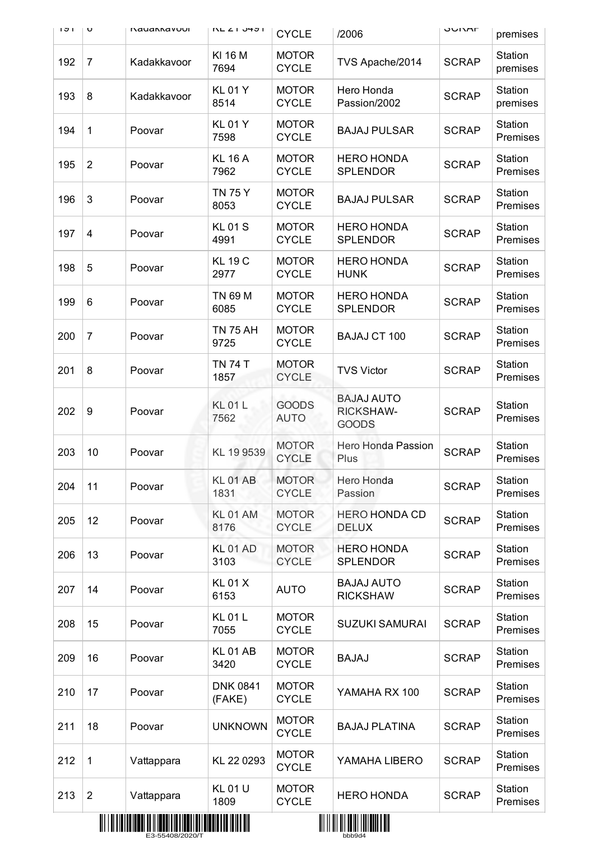| 171 | U              | <b>Nauannavuul</b> | ハロム エリサンド                 | <b>CYCLE</b>                               | /2006                                                 | חוריט        | premises            |
|-----|----------------|--------------------|---------------------------|--------------------------------------------|-------------------------------------------------------|--------------|---------------------|
| 192 | $\overline{7}$ | Kadakkavoor        | KI 16 M<br>7694           | <b>MOTOR</b><br><b>CYCLE</b>               | TVS Apache/2014                                       | <b>SCRAP</b> | Station<br>premises |
| 193 | 8              | Kadakkavoor        | <b>KL01Y</b><br>8514      | <b>MOTOR</b><br><b>CYCLE</b>               | Hero Honda<br>Passion/2002                            | <b>SCRAP</b> | Station<br>premises |
| 194 | 1              | Poovar             | <b>KL01Y</b><br>7598      | <b>MOTOR</b><br><b>CYCLE</b>               | <b>BAJAJ PULSAR</b>                                   | <b>SCRAP</b> | Station<br>Premises |
| 195 | $\overline{2}$ | Poovar             | <b>KL 16 A</b><br>7962    | <b>MOTOR</b><br><b>CYCLE</b>               | <b>HERO HONDA</b><br><b>SPLENDOR</b>                  | <b>SCRAP</b> | Station<br>Premises |
| 196 | 3              | Poovar             | <b>TN 75 Y</b><br>8053    | <b>MOTOR</b><br><b>CYCLE</b>               | <b>BAJAJ PULSAR</b>                                   | <b>SCRAP</b> | Station<br>Premises |
| 197 | $\overline{4}$ | Poovar             | <b>KL01S</b><br>4991      | <b>MOTOR</b><br><b>CYCLE</b>               | <b>HERO HONDA</b><br><b>SPLENDOR</b>                  | <b>SCRAP</b> | Station<br>Premises |
| 198 | 5              | Poovar             | <b>KL 19 C</b><br>2977    | <b>MOTOR</b><br><b>CYCLE</b>               | <b>HERO HONDA</b><br><b>HUNK</b>                      | <b>SCRAP</b> | Station<br>Premises |
| 199 | 6              | Poovar             | <b>TN 69 M</b><br>6085    | <b>MOTOR</b><br><b>CYCLE</b>               | <b>HERO HONDA</b><br><b>SPLENDOR</b>                  | <b>SCRAP</b> | Station<br>Premises |
| 200 | $\overline{7}$ | Poovar             | <b>TN 75 AH</b><br>9725   | <b>MOTOR</b><br><b>CYCLE</b>               | <b>BAJAJ CT 100</b>                                   | <b>SCRAP</b> | Station<br>Premises |
| 201 | 8              | Poovar             | <b>TN 74 T</b><br>1857    | <b>MOTOR</b><br><b>CYCLE</b>               | <b>TVS Victor</b>                                     | <b>SCRAP</b> | Station<br>Premises |
| 202 | 9              | Poovar             | <b>KL01L</b><br>7562      | <b>GOODS</b><br><b>AUTO</b>                | <b>BAJAJ AUTO</b><br><b>RICKSHAW-</b><br><b>GOODS</b> | <b>SCRAP</b> | Station<br>Premises |
| 203 | 10             | Poovar             | KL 19 9539                | <b>MOTOR</b><br><b>CYCLE</b>               | Hero Honda Passion<br>Plus                            | <b>SCRAP</b> | Station<br>Premises |
| 204 | 11             | Poovar             | <b>KL 01 AB</b><br>1831   | <b>MOTOR</b><br><b>CYCLE</b>               | Hero Honda<br>Passion                                 | <b>SCRAP</b> | Station<br>Premises |
| 205 | 12             | Poovar             | <b>KL 01 AM</b><br>8176   | <b>MOTOR</b><br><b>CYCLE</b>               | <b>HERO HONDA CD</b><br><b>DELUX</b>                  | <b>SCRAP</b> | Station<br>Premises |
| 206 | 13             | Poovar             | KL01AD<br>3103            | <b>MOTOR</b><br><b>CYCLE</b>               | <b>HERO HONDA</b><br><b>SPLENDOR</b>                  | <b>SCRAP</b> | Station<br>Premises |
| 207 | 14             | Poovar             | <b>KL01X</b><br>6153      | <b>AUTO</b>                                | <b>BAJAJ AUTO</b><br><b>RICKSHAW</b>                  | <b>SCRAP</b> | Station<br>Premises |
| 208 | 15             | Poovar             | <b>KL01L</b><br>7055      | <b>MOTOR</b><br><b>CYCLE</b>               | <b>SUZUKI SAMURAI</b>                                 | <b>SCRAP</b> | Station<br>Premises |
| 209 | 16             | Poovar             | <b>KL 01 AB</b><br>3420   | <b>MOTOR</b><br><b>CYCLE</b>               | <b>BAJAJ</b>                                          | <b>SCRAP</b> | Station<br>Premises |
| 210 | 17             | Poovar             | <b>DNK 0841</b><br>(FAKE) | <b>MOTOR</b><br><b>CYCLE</b>               | YAMAHA RX 100                                         | <b>SCRAP</b> | Station<br>Premises |
| 211 | 18             | Poovar             | <b>UNKNOWN</b>            | <b>MOTOR</b><br><b>CYCLE</b>               | <b>BAJAJ PLATINA</b>                                  | <b>SCRAP</b> | Station<br>Premises |
| 212 | $\mathbf{1}$   | Vattappara         | KL 22 0293                | <b>MOTOR</b><br><b>CYCLE</b>               | YAMAHA LIBERO                                         | <b>SCRAP</b> | Station<br>Premises |
| 213 | 2              | Vattappara         | <b>KL01U</b><br>1809      | <b>MOTOR</b><br><b>CYCLE</b>               | <b>HERO HONDA</b>                                     | <b>SCRAP</b> | Station<br>Premises |
|     |                |                    |                           | <u> 811 11 811 811 8211 1311 8311 8311</u> |                                                       |              |                     |



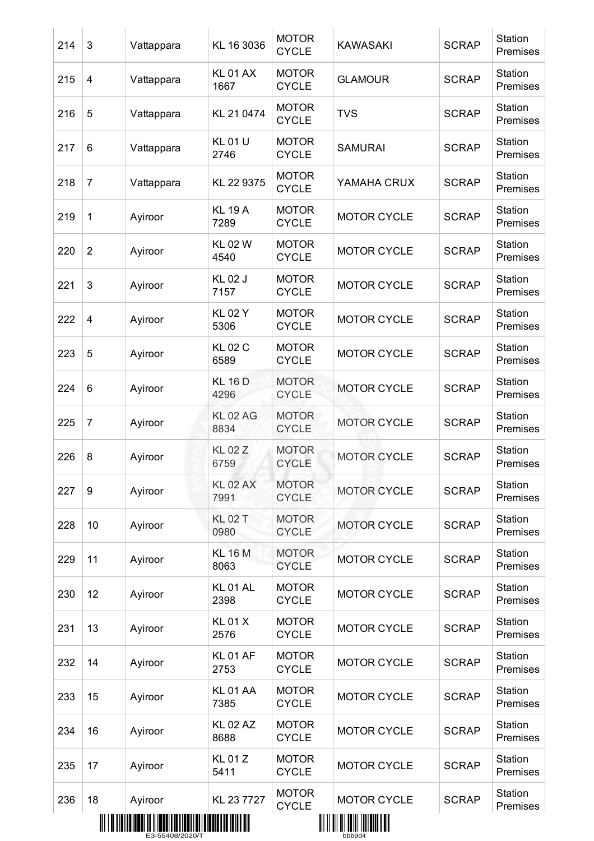| 214 | 3                | Vattappara                                                                                                | KL 16 3036              | <b>MOTOR</b><br><b>CYCLE</b> | <b>KAWASAKI</b>                                                 | <b>SCRAP</b> | Station<br>Premises |
|-----|------------------|-----------------------------------------------------------------------------------------------------------|-------------------------|------------------------------|-----------------------------------------------------------------|--------------|---------------------|
| 215 | $\overline{4}$   | Vattappara                                                                                                | <b>KL 01 AX</b><br>1667 | <b>MOTOR</b><br><b>CYCLE</b> | <b>GLAMOUR</b>                                                  | <b>SCRAP</b> | Station<br>Premises |
| 216 | 5                | Vattappara                                                                                                | KL 21 0474              | <b>MOTOR</b><br><b>CYCLE</b> | <b>TVS</b>                                                      | <b>SCRAP</b> | Station<br>Premises |
| 217 | 6                | Vattappara                                                                                                | <b>KL01U</b><br>2746    | <b>MOTOR</b><br><b>CYCLE</b> | <b>SAMURAI</b>                                                  | <b>SCRAP</b> | Station<br>Premises |
| 218 | $\overline{7}$   | Vattappara                                                                                                | KL 22 9375              | <b>MOTOR</b><br><b>CYCLE</b> | YAMAHA CRUX                                                     | <b>SCRAP</b> | Station<br>Premises |
| 219 | 1                | Ayiroor                                                                                                   | <b>KL 19 A</b><br>7289  | <b>MOTOR</b><br><b>CYCLE</b> | <b>MOTOR CYCLE</b>                                              | <b>SCRAP</b> | Station<br>Premises |
| 220 | $\overline{2}$   | Ayiroor                                                                                                   | <b>KL02W</b><br>4540    | <b>MOTOR</b><br><b>CYCLE</b> | <b>MOTOR CYCLE</b>                                              | <b>SCRAP</b> | Station<br>Premises |
| 221 | 3                | Ayiroor                                                                                                   | <b>KL02J</b><br>7157    | <b>MOTOR</b><br><b>CYCLE</b> | <b>MOTOR CYCLE</b>                                              | <b>SCRAP</b> | Station<br>Premises |
| 222 | 4                | Ayiroor                                                                                                   | <b>KL02Y</b><br>5306    | <b>MOTOR</b><br><b>CYCLE</b> | <b>MOTOR CYCLE</b>                                              | <b>SCRAP</b> | Station<br>Premises |
| 223 | 5                | Ayiroor                                                                                                   | <b>KL 02 C</b><br>6589  | <b>MOTOR</b><br><b>CYCLE</b> | <b>MOTOR CYCLE</b>                                              | <b>SCRAP</b> | Station<br>Premises |
| 224 | 6                | Ayiroor                                                                                                   | <b>KL 16 D</b><br>4296  | <b>MOTOR</b><br><b>CYCLE</b> | <b>MOTOR CYCLE</b>                                              | <b>SCRAP</b> | Station<br>Premises |
| 225 | $\overline{7}$   | Ayiroor                                                                                                   | <b>KL 02 AG</b><br>8834 | <b>MOTOR</b><br><b>CYCLE</b> | <b>MOTOR CYCLE</b>                                              | <b>SCRAP</b> | Station<br>Premises |
| 226 | 8                | Ayiroor                                                                                                   | <b>KL 02 Z</b><br>6759  | <b>MOTOR</b><br><b>CYCLE</b> | <b>MOTOR CYCLE</b>                                              | <b>SCRAP</b> | Station<br>Premises |
| 227 | $\boldsymbol{9}$ | Ayiroor                                                                                                   | <b>KL 02 AX</b><br>7991 | <b>MOTOR</b><br><b>CYCLE</b> | <b>MOTOR CYCLE</b>                                              | <b>SCRAP</b> | Station<br>Premises |
| 228 | 10               | Ayiroor                                                                                                   | <b>KL 02 T</b><br>0980  | <b>MOTOR</b><br><b>CYCLE</b> | <b>MOTOR CYCLE</b>                                              | <b>SCRAP</b> | Station<br>Premises |
| 229 | 11               | Ayiroor                                                                                                   | <b>KL 16 M</b><br>8063  | <b>MOTOR</b><br><b>CYCLE</b> | <b>MOTOR CYCLE</b>                                              | <b>SCRAP</b> | Station<br>Premises |
| 230 | 12               | Ayiroor                                                                                                   | <b>KL 01 AL</b><br>2398 | <b>MOTOR</b><br><b>CYCLE</b> | <b>MOTOR CYCLE</b>                                              | <b>SCRAP</b> | Station<br>Premises |
| 231 | 13               | Ayiroor                                                                                                   | <b>KL01X</b><br>2576    | <b>MOTOR</b><br><b>CYCLE</b> | <b>MOTOR CYCLE</b>                                              | <b>SCRAP</b> | Station<br>Premises |
| 232 | 14               | Ayiroor                                                                                                   | <b>KL 01 AF</b><br>2753 | <b>MOTOR</b><br><b>CYCLE</b> | <b>MOTOR CYCLE</b>                                              | <b>SCRAP</b> | Station<br>Premises |
| 233 | 15               | Ayiroor                                                                                                   | <b>KL 01 AA</b><br>7385 | <b>MOTOR</b><br><b>CYCLE</b> | <b>MOTOR CYCLE</b>                                              | <b>SCRAP</b> | Station<br>Premises |
| 234 | 16               | Ayiroor                                                                                                   | <b>KL 02 AZ</b><br>8688 | <b>MOTOR</b><br><b>CYCLE</b> | <b>MOTOR CYCLE</b>                                              | <b>SCRAP</b> | Station<br>Premises |
| 235 | 17               | Ayiroor                                                                                                   | <b>KL01Z</b><br>5411    | <b>MOTOR</b><br><b>CYCLE</b> | <b>MOTOR CYCLE</b>                                              | <b>SCRAP</b> | Station<br>Premises |
| 236 | 18               | Ayiroor<br><u> 11   11   11   11   12   13   14   15   16   16   16   17   17   18   18   18   18   1</u> | KL 23 7727              | <b>MOTOR</b><br><b>CYCLE</b> | <b>MOTOR CYCLE</b><br><u> Ali il ali ali ali i ali ali ali </u> | <b>SCRAP</b> | Station<br>Premises |



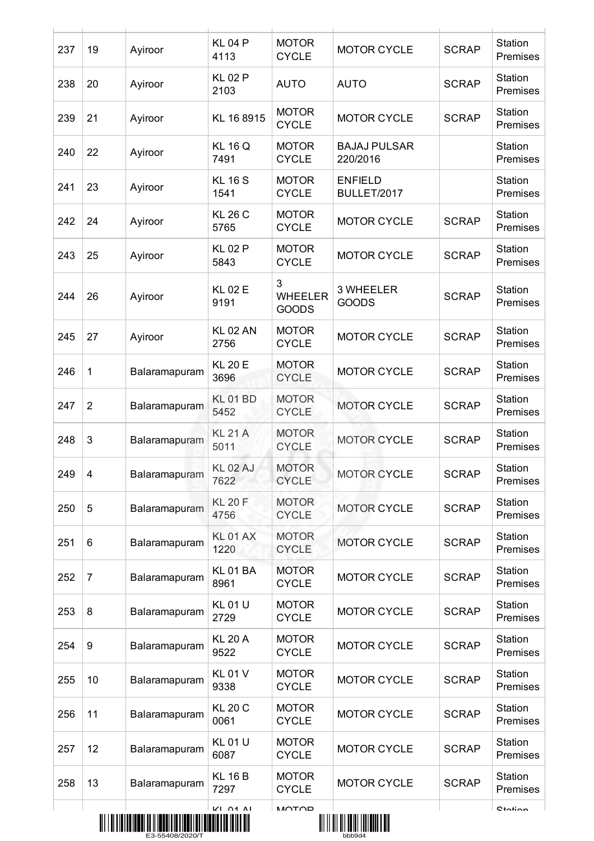| 237 | 19               | Ayiroor       | <b>KL04P</b><br>4113    | <b>MOTOR</b><br><b>CYCLE</b>        | <b>MOTOR CYCLE</b>                        | <b>SCRAP</b> | Station<br>Premises |
|-----|------------------|---------------|-------------------------|-------------------------------------|-------------------------------------------|--------------|---------------------|
| 238 | 20               | Ayiroor       | <b>KL02P</b><br>2103    | <b>AUTO</b>                         | <b>AUTO</b>                               | <b>SCRAP</b> | Station<br>Premises |
| 239 | 21               | Ayiroor       | KL 16 8915              | <b>MOTOR</b><br><b>CYCLE</b>        | <b>MOTOR CYCLE</b>                        | <b>SCRAP</b> | Station<br>Premises |
| 240 | 22               | Ayiroor       | <b>KL 16 Q</b><br>7491  | <b>MOTOR</b><br><b>CYCLE</b>        | <b>BAJAJ PULSAR</b><br>220/2016           |              | Station<br>Premises |
| 241 | 23               | Ayiroor       | <b>KL 16 S</b><br>1541  | <b>MOTOR</b><br><b>CYCLE</b>        | <b>ENFIELD</b><br>BULLET/2017             |              | Station<br>Premises |
| 242 | 24               | Ayiroor       | <b>KL 26 C</b><br>5765  | <b>MOTOR</b><br><b>CYCLE</b>        | <b>MOTOR CYCLE</b>                        | <b>SCRAP</b> | Station<br>Premises |
| 243 | 25               | Ayiroor       | <b>KL02P</b><br>5843    | <b>MOTOR</b><br><b>CYCLE</b>        | <b>MOTOR CYCLE</b>                        | <b>SCRAP</b> | Station<br>Premises |
| 244 | 26               | Ayiroor       | <b>KL02E</b><br>9191    | 3<br><b>WHEELER</b><br><b>GOODS</b> | 3 WHEELER<br><b>GOODS</b>                 | <b>SCRAP</b> | Station<br>Premises |
| 245 | 27               | Ayiroor       | <b>KL 02 AN</b><br>2756 | <b>MOTOR</b><br><b>CYCLE</b>        | <b>MOTOR CYCLE</b>                        | <b>SCRAP</b> | Station<br>Premises |
| 246 | 1                | Balaramapuram | <b>KL 20 E</b><br>3696  | <b>MOTOR</b><br><b>CYCLE</b>        | <b>MOTOR CYCLE</b>                        | <b>SCRAP</b> | Station<br>Premises |
| 247 | $\overline{2}$   | Balaramapuram | <b>KL01BD</b><br>5452   | <b>MOTOR</b><br><b>CYCLE</b>        | <b>MOTOR CYCLE</b>                        | <b>SCRAP</b> | Station<br>Premises |
| 248 | 3                | Balaramapuram | <b>KL 21 A</b><br>5011  | <b>MOTOR</b><br><b>CYCLE</b>        | <b>MOTOR CYCLE</b>                        | <b>SCRAP</b> | Station<br>Premises |
| 249 | 4                | Balaramapuram | <b>KL 02 AJ</b><br>7622 | <b>MOTOR</b><br><b>CYCLE</b>        | <b>MOTOR CYCLE</b>                        | <b>SCRAP</b> | Station<br>Premises |
| 250 | 5                | Balaramapuram | <b>KL 20 F</b><br>4756  | <b>MOTOR</b><br><b>CYCLE</b>        | <b>MOTOR CYCLE</b>                        | <b>SCRAP</b> | Station<br>Premises |
| 251 | 6                | Balaramapuram | <b>KL 01 AX</b><br>1220 | <b>MOTOR</b><br><b>CYCLE</b>        | <b>MOTOR CYCLE</b>                        | <b>SCRAP</b> | Station<br>Premises |
| 252 | $\overline{7}$   | Balaramapuram | <b>KL01BA</b><br>8961   | <b>MOTOR</b><br><b>CYCLE</b>        | <b>MOTOR CYCLE</b>                        | <b>SCRAP</b> | Station<br>Premises |
| 253 | 8                | Balaramapuram | <b>KL01U</b><br>2729    | <b>MOTOR</b><br><b>CYCLE</b>        | <b>MOTOR CYCLE</b>                        | <b>SCRAP</b> | Station<br>Premises |
| 254 | $\boldsymbol{9}$ | Balaramapuram | <b>KL 20 A</b><br>9522  | <b>MOTOR</b><br><b>CYCLE</b>        | <b>MOTOR CYCLE</b>                        | <b>SCRAP</b> | Station<br>Premises |
| 255 | 10               | Balaramapuram | <b>KL01V</b><br>9338    | <b>MOTOR</b><br><b>CYCLE</b>        | <b>MOTOR CYCLE</b>                        | <b>SCRAP</b> | Station<br>Premises |
| 256 | 11               | Balaramapuram | <b>KL 20 C</b><br>0061  | <b>MOTOR</b><br><b>CYCLE</b>        | <b>MOTOR CYCLE</b>                        | <b>SCRAP</b> | Station<br>Premises |
| 257 | 12               | Balaramapuram | <b>KL01U</b><br>6087    | <b>MOTOR</b><br><b>CYCLE</b>        | <b>MOTOR CYCLE</b>                        | <b>SCRAP</b> | Station<br>Premises |
| 258 | 13               | Balaramapuram | <b>KL 16 B</b><br>7297  | <b>MOTOR</b><br><b>CYCLE</b>        | <b>MOTOR CYCLE</b>                        | <b>SCRAP</b> | Station<br>Premises |
|     |                  |               | $K1$ $n4$ $n1$          | <b>MOTOD</b>                        | <u> Ali il ali ali anni internati all</u> |              | $C$ totion          |
|     |                  |               |                         |                                     |                                           |              |                     |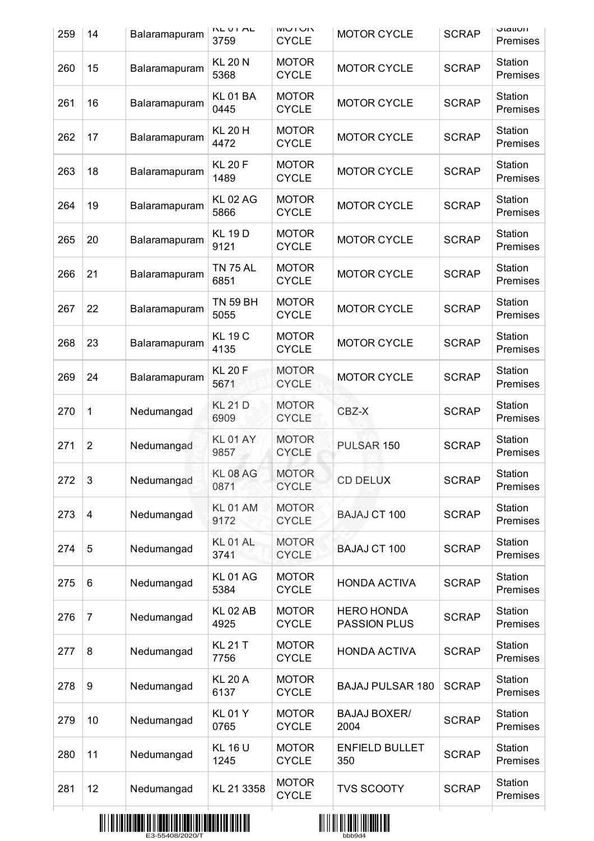| 259 | 14             | Balaramapuram | INL UI AL<br>3759       | IVIV IN<br><b>CYCLE</b>      | <b>MOTOR CYCLE</b>                       | <b>SCRAP</b> | olaliun<br>Premises |
|-----|----------------|---------------|-------------------------|------------------------------|------------------------------------------|--------------|---------------------|
| 260 | 15             | Balaramapuram | <b>KL 20 N</b><br>5368  | <b>MOTOR</b><br><b>CYCLE</b> | <b>MOTOR CYCLE</b>                       | <b>SCRAP</b> | Station<br>Premises |
| 261 | 16             | Balaramapuram | <b>KL01BA</b><br>0445   | <b>MOTOR</b><br><b>CYCLE</b> | <b>MOTOR CYCLE</b>                       | <b>SCRAP</b> | Station<br>Premises |
| 262 | 17             | Balaramapuram | <b>KL 20 H</b><br>4472  | <b>MOTOR</b><br><b>CYCLE</b> | <b>MOTOR CYCLE</b>                       | <b>SCRAP</b> | Station<br>Premises |
| 263 | 18             | Balaramapuram | <b>KL 20 F</b><br>1489  | <b>MOTOR</b><br><b>CYCLE</b> | <b>MOTOR CYCLE</b>                       | <b>SCRAP</b> | Station<br>Premises |
| 264 | 19             | Balaramapuram | <b>KL 02 AG</b><br>5866 | <b>MOTOR</b><br><b>CYCLE</b> | <b>MOTOR CYCLE</b>                       | <b>SCRAP</b> | Station<br>Premises |
| 265 | 20             | Balaramapuram | <b>KL 19D</b><br>9121   | <b>MOTOR</b><br><b>CYCLE</b> | <b>MOTOR CYCLE</b>                       | <b>SCRAP</b> | Station<br>Premises |
| 266 | 21             | Balaramapuram | <b>TN 75 AL</b><br>6851 | <b>MOTOR</b><br><b>CYCLE</b> | <b>MOTOR CYCLE</b>                       | <b>SCRAP</b> | Station<br>Premises |
| 267 | 22             | Balaramapuram | <b>TN 59 BH</b><br>5055 | <b>MOTOR</b><br><b>CYCLE</b> | <b>MOTOR CYCLE</b>                       | <b>SCRAP</b> | Station<br>Premises |
| 268 | 23             | Balaramapuram | <b>KL 19 C</b><br>4135  | <b>MOTOR</b><br><b>CYCLE</b> | <b>MOTOR CYCLE</b>                       | <b>SCRAP</b> | Station<br>Premises |
| 269 | 24             | Balaramapuram | <b>KL 20 F</b><br>5671  | <b>MOTOR</b><br><b>CYCLE</b> | <b>MOTOR CYCLE</b>                       | <b>SCRAP</b> | Station<br>Premises |
| 270 | 1              | Nedumangad    | <b>KL 21 D</b><br>6909  | <b>MOTOR</b><br><b>CYCLE</b> | CBZ-X                                    | <b>SCRAP</b> | Station<br>Premises |
| 271 | $\overline{2}$ | Nedumangad    | <b>KL 01 AY</b><br>9857 | <b>MOTOR</b><br><b>CYCLE</b> | PULSAR 150                               | <b>SCRAP</b> | Station<br>Premises |
| 272 | 3              | Nedumangad    | <b>KL 08 AG</b><br>0871 | <b>MOTOR</b><br><b>CYCLE</b> | <b>CD DELUX</b>                          | <b>SCRAP</b> | Station<br>Premises |
| 273 | $\overline{4}$ | Nedumangad    | <b>KL01AM</b><br>9172   | <b>MOTOR</b><br><b>CYCLE</b> | <b>BAJAJ CT 100</b>                      | <b>SCRAP</b> | Station<br>Premises |
| 274 | 5              | Nedumangad    | <b>KL 01 AL</b><br>3741 | <b>MOTOR</b><br><b>CYCLE</b> | <b>BAJAJ CT 100</b>                      | <b>SCRAP</b> | Station<br>Premises |
| 275 | 6              | Nedumangad    | <b>KL01AG</b><br>5384   | <b>MOTOR</b><br><b>CYCLE</b> | <b>HONDA ACTIVA</b>                      | <b>SCRAP</b> | Station<br>Premises |
| 276 | $\overline{7}$ | Nedumangad    | <b>KL 02 AB</b><br>4925 | <b>MOTOR</b><br><b>CYCLE</b> | <b>HERO HONDA</b><br><b>PASSION PLUS</b> | <b>SCRAP</b> | Station<br>Premises |
| 277 | 8              | Nedumangad    | <b>KL 21 T</b><br>7756  | <b>MOTOR</b><br><b>CYCLE</b> | <b>HONDA ACTIVA</b>                      | <b>SCRAP</b> | Station<br>Premises |
| 278 | 9              | Nedumangad    | <b>KL 20 A</b><br>6137  | <b>MOTOR</b><br><b>CYCLE</b> | <b>BAJAJ PULSAR 180</b>                  | <b>SCRAP</b> | Station<br>Premises |
| 279 | 10             | Nedumangad    | <b>KL01Y</b><br>0765    | <b>MOTOR</b><br><b>CYCLE</b> | <b>BAJAJ BOXER/</b><br>2004              | <b>SCRAP</b> | Station<br>Premises |
| 280 | 11             | Nedumangad    | <b>KL 16 U</b><br>1245  | <b>MOTOR</b><br><b>CYCLE</b> | <b>ENFIELD BULLET</b><br>350             | <b>SCRAP</b> | Station<br>Premises |
| 281 | 12             | Nedumangad    | KL 21 3358              | <b>MOTOR</b><br><b>CYCLE</b> | <b>TVS SCOOTY</b>                        | <b>SCRAP</b> | Station<br>Premises |
|     |                |               |                         |                              |                                          |              |                     |



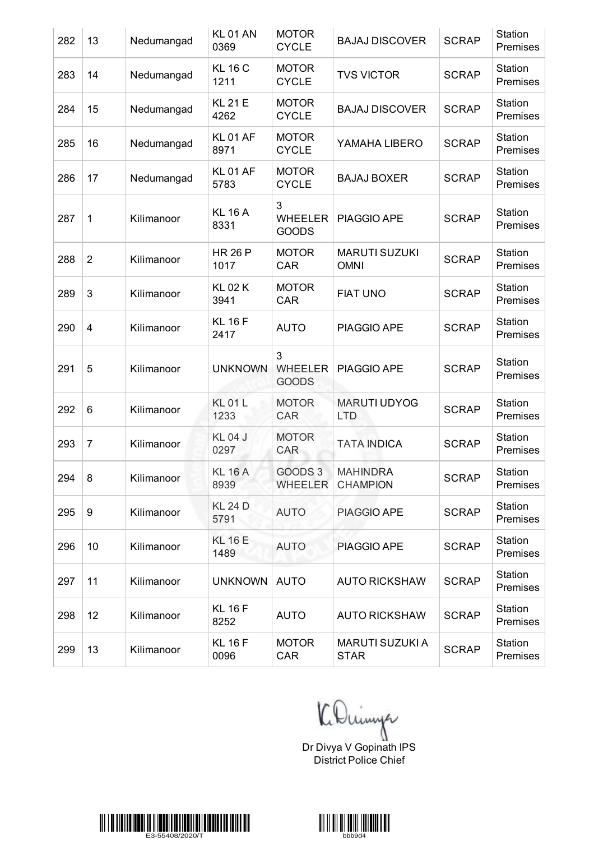| 282 | 13              | Nedumangad | <b>KL 01 AN</b><br>0369 | <b>MOTOR</b><br><b>CYCLE</b>        | <b>BAJAJ DISCOVER</b>                 | <b>SCRAP</b> | Station<br>Premises |
|-----|-----------------|------------|-------------------------|-------------------------------------|---------------------------------------|--------------|---------------------|
| 283 | 14              | Nedumangad | <b>KL 16 C</b><br>1211  | <b>MOTOR</b><br><b>CYCLE</b>        | <b>TVS VICTOR</b>                     | <b>SCRAP</b> | Station<br>Premises |
| 284 | 15              | Nedumangad | <b>KL 21 E</b><br>4262  | <b>MOTOR</b><br><b>CYCLE</b>        | <b>BAJAJ DISCOVER</b>                 | <b>SCRAP</b> | Station<br>Premises |
| 285 | 16              | Nedumangad | <b>KL01 AF</b><br>8971  | <b>MOTOR</b><br><b>CYCLE</b>        | YAMAHA LIBERO                         | <b>SCRAP</b> | Station<br>Premises |
| 286 | 17              | Nedumangad | <b>KL01 AF</b><br>5783  | <b>MOTOR</b><br><b>CYCLE</b>        | <b>BAJAJ BOXER</b>                    | <b>SCRAP</b> | Station<br>Premises |
| 287 | $\mathbf{1}$    | Kilimanoor | <b>KL 16 A</b><br>8331  | 3<br><b>WHEELER</b><br><b>GOODS</b> | PIAGGIO APE                           | <b>SCRAP</b> | Station<br>Premises |
| 288 | $\overline{2}$  | Kilimanoor | <b>HR 26 P</b><br>1017  | <b>MOTOR</b><br>CAR                 | <b>MARUTI SUZUKI</b><br><b>OMNI</b>   | <b>SCRAP</b> | Station<br>Premises |
| 289 | 3               | Kilimanoor | <b>KL 02 K</b><br>3941  | <b>MOTOR</b><br>CAR                 | <b>FIAT UNO</b>                       | <b>SCRAP</b> | Station<br>Premises |
| 290 | 4               | Kilimanoor | <b>KL 16 F</b><br>2417  | <b>AUTO</b>                         | PIAGGIO APE                           | <b>SCRAP</b> | Station<br>Premises |
| 291 | 5               | Kilimanoor | <b>UNKNOWN</b>          | 3<br><b>WHEELER</b><br><b>GOODS</b> | PIAGGIO APE                           | <b>SCRAP</b> | Station<br>Premises |
| 292 | $6\phantom{1}6$ | Kilimanoor | <b>KL01L</b><br>1233    | <b>MOTOR</b><br><b>CAR</b>          | <b>MARUTI UDYOG</b><br><b>LTD</b>     | <b>SCRAP</b> | Station<br>Premises |
| 293 | $\overline{7}$  | Kilimanoor | <b>KL04J</b><br>0297    | <b>MOTOR</b><br>CAR                 | <b>TATA INDICA</b>                    | <b>SCRAP</b> | Station<br>Premises |
| 294 | 8               | Kilimanoor | <b>KL 16 A</b><br>8939  | GOODS 3<br><b>WHEELER</b>           | <b>MAHINDRA</b><br><b>CHAMPION</b>    | <b>SCRAP</b> | Station<br>Premises |
| 295 | 9               | Kilimanoor | <b>KL 24 D</b><br>5791  | <b>AUTO</b>                         | PIAGGIO APE                           | <b>SCRAP</b> | Station<br>Premises |
| 296 | 10              | Kilimanoor | <b>KL 16 E</b><br>1489  | <b>AUTO</b>                         | PIAGGIO APE                           | <b>SCRAP</b> | Station<br>Premises |
| 297 | 11              | Kilimanoor | <b>UNKNOWN</b>          | <b>AUTO</b>                         | <b>AUTO RICKSHAW</b>                  | <b>SCRAP</b> | Station<br>Premises |
| 298 | 12              | Kilimanoor | <b>KL 16 F</b><br>8252  | <b>AUTO</b>                         | <b>AUTO RICKSHAW</b>                  | <b>SCRAP</b> | Station<br>Premises |
| 299 | 13              | Kilimanoor | <b>KL 16 F</b><br>0096  | <b>MOTOR</b><br><b>CAR</b>          | <b>MARUTI SUZUKI A</b><br><b>STAR</b> | <b>SCRAP</b> | Station<br>Premises |

Dr Divya V Gopinath IPS

District Police Chief